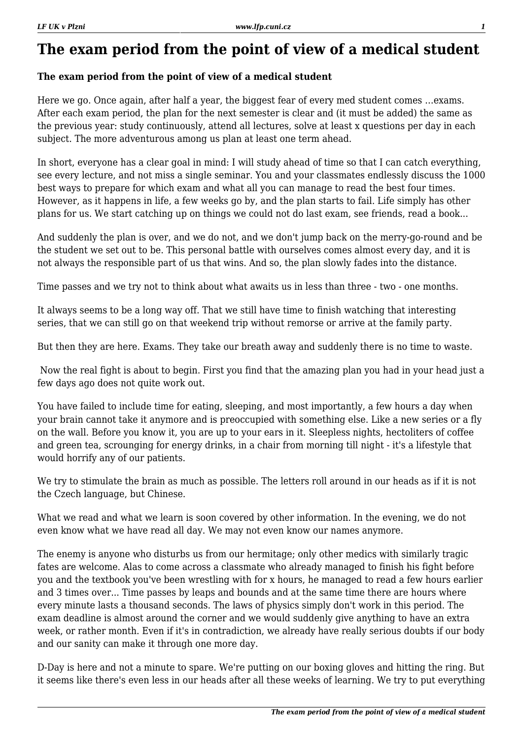## **The exam period from the point of view of a medical student**

## **The exam period from the point of view of a medical student**

Here we go. Once again, after half a year, the biggest fear of every med student comes …exams. After each exam period, the plan for the next semester is clear and (it must be added) the same as the previous year: study continuously, attend all lectures, solve at least x questions per day in each subject. The more adventurous among us plan at least one term ahead.

In short, everyone has a clear goal in mind: I will study ahead of time so that I can catch everything, see every lecture, and not miss a single seminar. You and your classmates endlessly discuss the 1000 best ways to prepare for which exam and what all you can manage to read the best four times. However, as it happens in life, a few weeks go by, and the plan starts to fail. Life simply has other plans for us. We start catching up on things we could not do last exam, see friends, read a book...

And suddenly the plan is over, and we do not, and we don't jump back on the merry-go-round and be the student we set out to be. This personal battle with ourselves comes almost every day, and it is not always the responsible part of us that wins. And so, the plan slowly fades into the distance.

Time passes and we try not to think about what awaits us in less than three - two - one months.

It always seems to be a long way off. That we still have time to finish watching that interesting series, that we can still go on that weekend trip without remorse or arrive at the family party.

But then they are here. Exams. They take our breath away and suddenly there is no time to waste.

 Now the real fight is about to begin. First you find that the amazing plan you had in your head just a few days ago does not quite work out.

You have failed to include time for eating, sleeping, and most importantly, a few hours a day when your brain cannot take it anymore and is preoccupied with something else. Like a new series or a fly on the wall. Before you know it, you are up to your ears in it. Sleepless nights, hectoliters of coffee and green tea, scrounging for energy drinks, in a chair from morning till night - it's a lifestyle that would horrify any of our patients.

We try to stimulate the brain as much as possible. The letters roll around in our heads as if it is not the Czech language, but Chinese.

What we read and what we learn is soon covered by other information. In the evening, we do not even know what we have read all day. We may not even know our names anymore.

The enemy is anyone who disturbs us from our hermitage; only other medics with similarly tragic fates are welcome. Alas to come across a classmate who already managed to finish his fight before you and the textbook you've been wrestling with for x hours, he managed to read a few hours earlier and 3 times over... Time passes by leaps and bounds and at the same time there are hours where every minute lasts a thousand seconds. The laws of physics simply don't work in this period. The exam deadline is almost around the corner and we would suddenly give anything to have an extra week, or rather month. Even if it's in contradiction, we already have really serious doubts if our body and our sanity can make it through one more day.

D-Day is here and not a minute to spare. We're putting on our boxing gloves and hitting the ring. But it seems like there's even less in our heads after all these weeks of learning. We try to put everything